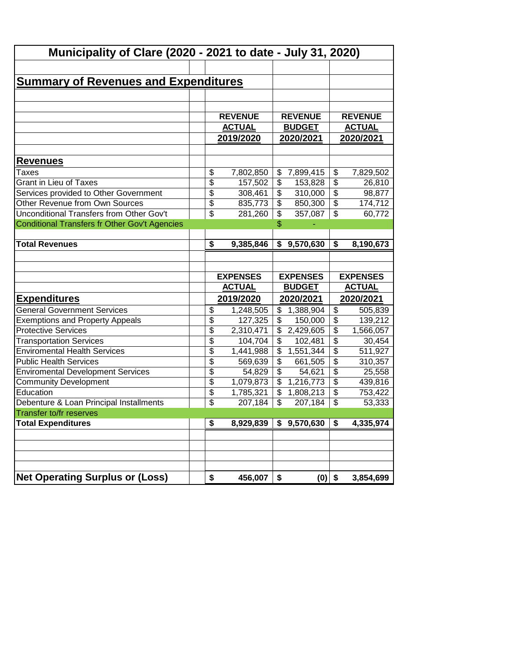| <b>Municipality of Clare (2020 - 2021 to date - July 31, 2020)</b> |                          |                 |                           |                 |                                        |                 |
|--------------------------------------------------------------------|--------------------------|-----------------|---------------------------|-----------------|----------------------------------------|-----------------|
|                                                                    |                          |                 |                           |                 |                                        |                 |
| <b>Summary of Revenues and Expenditures</b>                        |                          |                 |                           |                 |                                        |                 |
|                                                                    |                          |                 |                           |                 |                                        |                 |
|                                                                    |                          |                 |                           |                 |                                        |                 |
|                                                                    |                          | <b>REVENUE</b>  |                           | <b>REVENUE</b>  |                                        | <b>REVENUE</b>  |
|                                                                    |                          | <b>ACTUAL</b>   |                           | <b>BUDGET</b>   |                                        | <b>ACTUAL</b>   |
|                                                                    |                          | 2019/2020       |                           | 2020/2021       |                                        | 2020/2021       |
|                                                                    |                          |                 |                           |                 |                                        |                 |
| <u>Revenues</u>                                                    |                          |                 |                           |                 |                                        |                 |
| Taxes                                                              | \$                       | 7,802,850       |                           | \$7,899,415     | \$                                     | 7,829,502       |
| <b>Grant in Lieu of Taxes</b>                                      | $\overline{\$}$          | 157,502         | \$                        | 153,828         | \$                                     | 26,810          |
| Services provided to Other Government                              | $\overline{\$}$          | 308,461         | \$                        | 310,000         | $\overline{\$}$                        | 98,877          |
| Other Revenue from Own Sources                                     | $\overline{\$}$          | 835,773         | \$                        | 850,300         | $\overline{\$}$                        | 174,712         |
| Unconditional Transfers from Other Gov't                           | $\overline{\mathcal{S}}$ | 281,260         | \$                        | 357,087         | $\overline{\mathcal{S}}$               | 60,772          |
| Conditional Transfers fr Other Gov't Agencies                      |                          |                 | \$                        |                 |                                        |                 |
|                                                                    |                          |                 |                           |                 |                                        |                 |
| <b>Total Revenues</b>                                              | \$                       | 9,385,846       |                           | \$9,570,630     | $\overline{\boldsymbol{\mathfrak{s}}}$ | 8,190,673       |
|                                                                    |                          |                 |                           |                 |                                        |                 |
|                                                                    |                          |                 |                           |                 |                                        |                 |
|                                                                    |                          |                 |                           |                 |                                        |                 |
|                                                                    |                          | <b>EXPENSES</b> |                           | <b>EXPENSES</b> |                                        | <b>EXPENSES</b> |
|                                                                    |                          | <b>ACTUAL</b>   |                           | <b>BUDGET</b>   |                                        | <b>ACTUAL</b>   |
| <b>Expenditures</b>                                                |                          | 2019/2020       |                           | 2020/2021       |                                        | 2020/2021       |
| <b>General Government Services</b>                                 | \$                       | 1,248,505       |                           | \$1,388,904     | $\overline{\mathbf{3}}$                | 505,839         |
| <b>Exemptions and Property Appeals</b>                             | $\overline{\$}$          | 127,325         | \$                        | 150,000         | $\overline{\$}$                        | 139,212         |
| <b>Protective Services</b>                                         | $\overline{\$}$          | 2,310,471       | \$                        | 2,429,605       | $\overline{\$}$                        | 1,566,057       |
| <b>Transportation Services</b>                                     | $\overline{\$}$          | 104,704         | \$                        | 102,481         | $\overline{\$}$                        | 30,454          |
| <b>Enviromental Health Services</b>                                | $\overline{\$}$          | 1,441,988       | \$                        | 1,551,344       | $\overline{\$}$                        | 511,927         |
| <b>Public Health Services</b>                                      | $\overline{\$}$          | 569,639         | \$                        | 661,505         | $\overline{\$}$                        | 310,357         |
| <b>Enviromental Development Services</b>                           | $\overline{\$}$          | 54,829          | $\overline{\$}$           | 54,621          | $\overline{\mathcal{E}}$               | 25,558          |
| <b>Community Development</b>                                       | $\overline{\$}$          | 1,079,873       | $\overline{\mathcal{L}}$  | 1,216,773       | $\overline{\mathcal{E}}$               | 439,816         |
| Education                                                          | $\overline{\$}$          | 1,785,321       | $\overline{\mathcal{L}}$  | 1,808,213       | $\overline{\mathcal{L}}$               | 753,422         |
| Debenture & Loan Principal Installments                            | \$                       | 207,184         | $\boldsymbol{\mathsf{S}}$ | 207,184         | $\boldsymbol{\mathsf{S}}$              | 53,333          |
| Transfer to/fr reserves                                            |                          |                 |                           |                 |                                        |                 |
| <b>Total Expenditures</b>                                          | \$                       | 8,929,839       |                           | \$9,570,630     | \$                                     | 4,335,974       |
|                                                                    |                          |                 |                           |                 |                                        |                 |
|                                                                    |                          |                 |                           |                 |                                        |                 |
|                                                                    |                          |                 |                           |                 |                                        |                 |
| <b>Net Operating Surplus or (Loss)</b>                             |                          | 456,007         |                           | $(0)$ \$        |                                        |                 |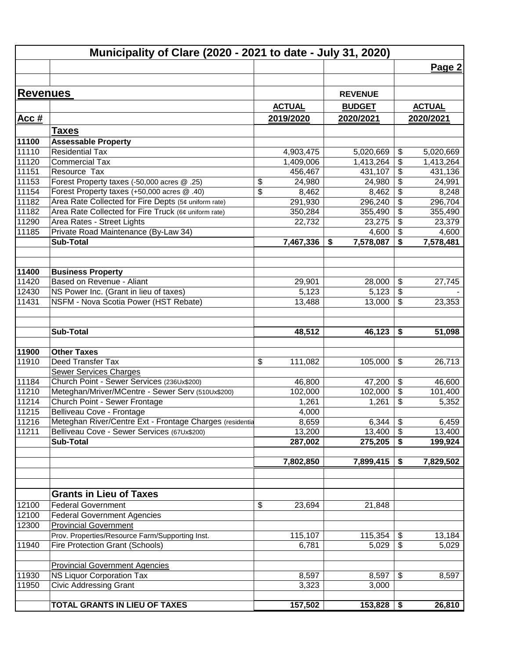|                 | Municipality of Clare (2020 - 2021 to date - July 31, 2020) |                      |                      |                                                           |                      |
|-----------------|-------------------------------------------------------------|----------------------|----------------------|-----------------------------------------------------------|----------------------|
|                 |                                                             |                      |                      |                                                           | Page 2               |
|                 |                                                             |                      |                      |                                                           |                      |
| <b>Revenues</b> |                                                             |                      | <b>REVENUE</b>       |                                                           |                      |
|                 |                                                             | <b>ACTUAL</b>        | <b>BUDGET</b>        |                                                           | <b>ACTUAL</b>        |
| <u>Acc #</u>    |                                                             | 2019/2020            | 2020/2021            |                                                           | 2020/2021            |
|                 |                                                             |                      |                      |                                                           |                      |
|                 | <b>Taxes</b>                                                |                      |                      |                                                           |                      |
| 11100           | <b>Assessable Property</b>                                  |                      |                      |                                                           |                      |
| 11110           | <b>Residential Tax</b>                                      | 4,903,475            | 5,020,669            | \$                                                        | 5,020,669            |
| 11120<br>11151  | <b>Commercial Tax</b><br>Resource Tax                       | 1,409,006<br>456,467 | 1,413,264<br>431,107 | $\boldsymbol{\theta}$<br>$\overline{\boldsymbol{\theta}}$ | 1,413,264<br>431,136 |
| 11153           | Forest Property taxes (-50,000 acres @ .25)                 | \$<br>24,980         | 24,980               | $\frac{1}{2}$                                             |                      |
| 11154           | Forest Property taxes (+50,000 acres @ .40)                 | \$                   |                      | $\boldsymbol{\theta}$                                     | 24,991               |
| 11182           | Area Rate Collected for Fire Depts (5¢ uniform rate)        | 8,462                | 8,462                | \$                                                        | 8,248                |
| 11182           | Area Rate Collected for Fire Truck (6¢ uniform rate)        | 291,930              | 296,240              | $\overline{\boldsymbol{\mathsf{s}}}$                      | 296,704              |
| 11290           | Area Rates - Street Lights                                  | 350,284<br>22,732    | 355,490<br>23,275    | $\boldsymbol{\mathsf{S}}$                                 | 355,490              |
| 11185           | Private Road Maintenance (By-Law 34)                        |                      | 4,600                | $\boldsymbol{\mathsf{S}}$                                 | 23,379               |
|                 | <b>Sub-Total</b>                                            | 7,467,336            | 7,578,087<br>\$      | \$                                                        | 4,600<br>7,578,481   |
|                 |                                                             |                      |                      |                                                           |                      |
| 11400           | <b>Business Property</b>                                    |                      |                      |                                                           |                      |
| 11420           | Based on Revenue - Aliant                                   | 29,901               | 28,000               | \$                                                        | 27,745               |
| 12430           | NS Power Inc. (Grant in lieu of taxes)                      | 5,123                | 5,123                | $\boldsymbol{\theta}$                                     |                      |
| 11431           | NSFM - Nova Scotia Power (HST Rebate)                       | 13,488               | 13,000               | $\sqrt{2}$                                                | 23,353               |
|                 |                                                             |                      |                      |                                                           |                      |
|                 | <b>Sub-Total</b>                                            | 48,512               | 46,123               | \$                                                        | 51,098               |
| 11900           | <b>Other Taxes</b>                                          |                      |                      |                                                           |                      |
| 11910           | Deed Transfer Tax                                           | \$<br>111,082        | 105,000              | \$                                                        | 26,713               |
|                 | Sewer Services Charges                                      |                      |                      |                                                           |                      |
| 11184           | Church Point - Sewer Services (236Ux\$200)                  | 46,800               | 47,200               | $\boldsymbol{\theta}$                                     | 46,600               |
| 11210           | Meteghan/Mriver/MCentre - Sewer Serv (510Ux\$200)           | 102,000              | 102,000              | $\overline{\boldsymbol{\theta}}$                          | 101,400              |
| 11214           | Church Point - Sewer Frontage                               | 1,261                | 1,261                | \$                                                        | 5,352                |
| 11215           | Belliveau Cove - Frontage                                   | 4,000                |                      |                                                           |                      |
| 11216           | Meteghan River/Centre Ext - Frontage Charges (residentia    | 8,659                | $6,344$ \$           |                                                           | 6,459                |
| 11211           | Belliveau Cove - Sewer Services (67Ux\$200)                 | 13,200               | 13,400               | $\boldsymbol{\mathsf{S}}$                                 | 13,400               |
|                 | <b>Sub-Total</b>                                            | 287,002              | 275,205              | \$                                                        | 199,924              |
|                 |                                                             | 7,802,850            | 7,899,415            | \$                                                        | 7,829,502            |
|                 |                                                             |                      |                      |                                                           |                      |
|                 | <b>Grants in Lieu of Taxes</b>                              |                      |                      |                                                           |                      |
| 12100           | <b>Federal Government</b>                                   | \$<br>23,694         | 21,848               |                                                           |                      |
| 12100           | <b>Federal Government Agencies</b>                          |                      |                      |                                                           |                      |
| 12300           | <b>Provincial Government</b>                                |                      |                      |                                                           |                      |
|                 | Prov. Properties/Resource Farm/Supporting Inst.             | 115,107              | 115,354              | \$                                                        | 13,184               |
| 11940           | <b>Fire Protection Grant (Schools)</b>                      | 6,781                | 5,029                | \$                                                        | 5,029                |
|                 | <b>Provincial Government Agencies</b>                       |                      |                      |                                                           |                      |
| 11930           | <b>NS Liquor Corporation Tax</b>                            | 8,597                | 8,597                | \$                                                        | 8,597                |
| 11950           | <b>Civic Addressing Grant</b>                               | 3,323                | 3,000                |                                                           |                      |
|                 | TOTAL GRANTS IN LIEU OF TAXES                               | 157,502              | 153,828              | \$                                                        | 26,810               |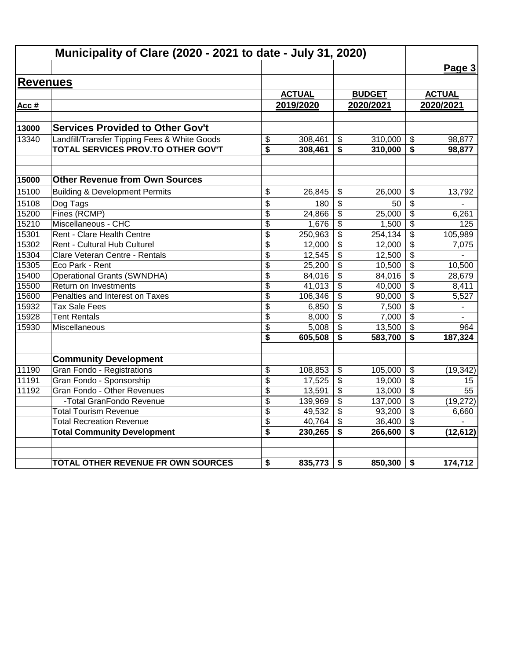|                 | Municipality of Clare (2020 - 2021 to date - July 31, 2020) |                 |               |                         |               |                                      |                          |
|-----------------|-------------------------------------------------------------|-----------------|---------------|-------------------------|---------------|--------------------------------------|--------------------------|
|                 |                                                             |                 |               |                         |               |                                      | Page 3                   |
| <b>Revenues</b> |                                                             |                 |               |                         |               |                                      |                          |
|                 |                                                             |                 | <b>ACTUAL</b> |                         | <b>BUDGET</b> |                                      | <b>ACTUAL</b>            |
| Acc #           |                                                             |                 | 2019/2020     |                         | 2020/2021     |                                      | 2020/2021                |
|                 |                                                             |                 |               |                         |               |                                      |                          |
| 13000           | <b>Services Provided to Other Gov't</b>                     |                 |               |                         |               |                                      |                          |
| 13340           | Landfill/Transfer Tipping Fees & White Goods                | \$              | 308,461       | \$                      | 310,000       | \$                                   | 98,877                   |
|                 | TOTAL SERVICES PROV.TO OTHER GOV'T                          | \$              | 308,461       | \$                      | 310,000       | \$                                   | 98,877                   |
| 15000           | <b>Other Revenue from Own Sources</b>                       |                 |               |                         |               |                                      |                          |
| 15100           | <b>Building &amp; Development Permits</b>                   | \$              | 26,845        | \$                      | 26.000        | \$                                   | 13,792                   |
| 15108           | Dog Tags                                                    | \$              | 180           | \$                      | 50            | \$                                   |                          |
| 15200           | Fines (RCMP)                                                | \$              | 24,866        | \$                      | 25,000        | \$                                   | 6,261                    |
| 15210           | Miscellaneous - CHC                                         | $\overline{\$}$ | 1,676         | \$                      | 1,500         | $\overline{\mathbf{S}}$              | 125                      |
| 15301           | Rent - Clare Health Centre                                  | \$              | 250,963       | \$                      | 254, 134      | \$                                   | 105,989                  |
| 15302           | Rent - Cultural Hub Culturel                                | \$              | 12,000        | \$                      | 12,000        | \$                                   | 7,075                    |
| 15304           | Clare Veteran Centre - Rentals                              | \$              | 12,545        | $\overline{\mathbf{3}}$ | 12,500        | $\overline{\boldsymbol{\mathsf{s}}}$ |                          |
| 15305           | Eco Park - Rent                                             | \$              | 25,200        | \$                      | 10,500        | $\overline{\mathcal{S}}$             | 10,500                   |
| 15400           | <b>Operational Grants (SWNDHA)</b>                          | \$              | 84,016        | \$                      | 84,016        | \$                                   | 28,679                   |
| 15500           | Return on Investments                                       | $\overline{\$}$ | 41,013        | $\overline{\mathbf{3}}$ | 40,000        | $\overline{\boldsymbol{\mathsf{s}}}$ | 8,411                    |
| 15600           | Penalties and Interest on Taxes                             | \$              | 106,346       | \$                      | 90,000        | $\overline{\mathbf{S}}$              | 5,527                    |
| 15932           | <b>Tax Sale Fees</b>                                        | \$              | 6,850         | \$                      | 7,500         | $\frac{1}{2}$                        | $\overline{\phantom{a}}$ |
| 15928           | <b>Tent Rentals</b>                                         | \$              | 8,000         | \$                      | 7,000         | \$                                   |                          |
| 15930           | Miscellaneous                                               | \$              | 5,008         | $\overline{\mathbf{3}}$ | 13,500        | \$                                   | 964                      |
|                 |                                                             | \$              | 605,508       | \$                      | 583,700       | \$                                   | 187,324                  |
|                 | <b>Community Development</b>                                |                 |               |                         |               |                                      |                          |
| 11190           | Gran Fondo - Registrations                                  | \$              | 108,853       | \$                      | 105,000       | \$                                   | (19, 342)                |
| 11191           | Gran Fondo - Sponsorship                                    | \$              | 17,525        | \$                      | 19,000        | $\frac{1}{2}$                        | 15                       |
| 11192           | Gran Fondo - Other Revenues                                 | \$              | 13,591        | \$                      | 13,000        | \$                                   | 55                       |
|                 | -Total GranFondo Revenue                                    | \$              | 139,969       | $\overline{\mathbf{e}}$ | 137,000       | $\overline{\boldsymbol{\theta}}$     | (19, 272)                |
|                 | <b>Total Tourism Revenue</b>                                | \$              | 49,532        | \$                      | 93,200        | \$                                   | 6,660                    |
|                 | <b>Total Recreation Revenue</b>                             | \$              | 40,764        | \$                      | 36,400        | $\overline{\mathbf{s}}$              |                          |
|                 | <b>Total Community Development</b>                          | \$              | 230,265       | \$                      | 266,600       | \$                                   | (12, 612)                |
|                 | TOTAL OTHER REVENUE FR OWN SOURCES                          |                 |               | \$                      |               |                                      |                          |
|                 |                                                             | \$              | 835,773       |                         | 850,300       | \$                                   | 174,712                  |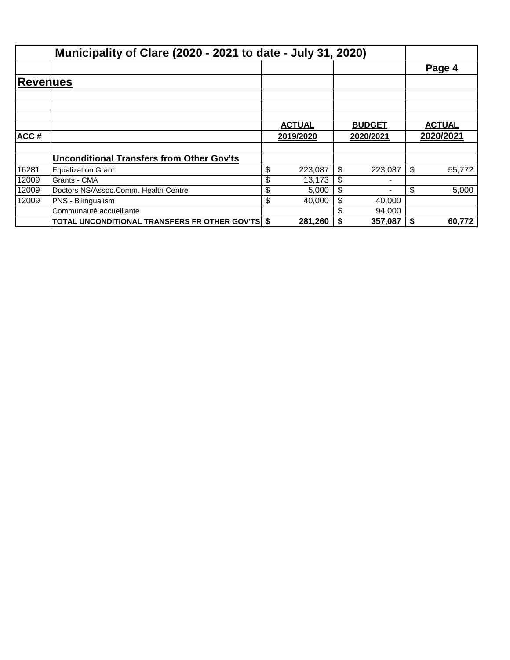|          | Municipality of Clare (2020 - 2021 to date - July 31, 2020) |               |               |               |
|----------|-------------------------------------------------------------|---------------|---------------|---------------|
|          |                                                             |               |               | Page 4        |
| Revenues |                                                             |               |               |               |
|          |                                                             |               |               |               |
|          |                                                             | <b>ACTUAL</b> | <b>BUDGET</b> | <b>ACTUAL</b> |
| ACC#     |                                                             | 2019/2020     | 2020/2021     | 2020/2021     |
|          | <b>Unconditional Transfers from Other Gov'ts</b>            |               |               |               |
| 16281    | <b>Equalization Grant</b>                                   | \$<br>223,087 | \$<br>223.087 | \$<br>55,772  |
| 12009    | Grants - CMA                                                | \$<br>13,173  | \$            |               |
| 12009    | Doctors NS/Assoc.Comm. Health Centre                        | \$<br>5,000   | \$            | \$<br>5,000   |
| 12009    | PNS - Bilingualism                                          | \$<br>40.000  | \$<br>40,000  |               |
|          | Communauté accueillante                                     |               | 94,000        |               |
|          | <b>TOTAL UNCONDITIONAL TRANSFERS FR OTHER GOV'TS \$</b>     | 281,260       | 357,087       | \$<br>60,772  |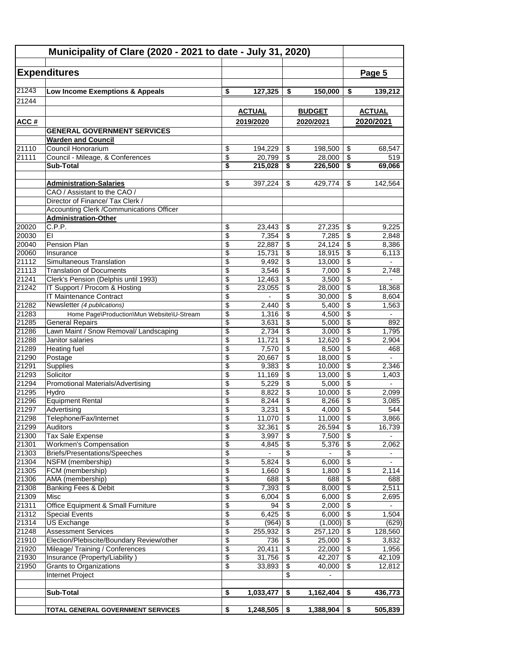|                | Municipality of Clare (2020 - 2021 to date - July 31, 2020)             |                       |                 |                       |                   |                                  |                          |
|----------------|-------------------------------------------------------------------------|-----------------------|-----------------|-----------------------|-------------------|----------------------------------|--------------------------|
|                |                                                                         |                       |                 |                       |                   |                                  |                          |
|                | <b>Expenditures</b>                                                     |                       |                 |                       |                   |                                  | Page 5                   |
| 21243          | Low Income Exemptions & Appeals                                         | \$                    | 127,325         | \$                    | 150,000           | \$                               | 139,212                  |
| 21244          |                                                                         |                       |                 |                       |                   |                                  |                          |
|                |                                                                         |                       | <b>ACTUAL</b>   |                       | <b>BUDGET</b>     |                                  | <b>ACTUAL</b>            |
| <u>ACC#</u>    |                                                                         |                       | 2019/2020       |                       | 2020/2021         |                                  | 2020/2021                |
|                | <b>GENERAL GOVERNMENT SERVICES</b>                                      |                       |                 |                       |                   |                                  |                          |
|                | <b>Warden and Council</b>                                               |                       |                 |                       |                   |                                  |                          |
| 21110          | Council Honorarium                                                      | \$                    | 194,229         | \$                    | 198,500           | \$                               | 68,547                   |
| 21111          | Council - Mileage, & Conferences                                        | \$                    | 20,799          | \$                    | 28.000            | \$                               | 519                      |
|                | <b>Sub-Total</b>                                                        | \$                    | 215,028         | \$                    | 226,500           | \$                               | 69,066                   |
|                |                                                                         |                       |                 |                       |                   |                                  |                          |
|                | <b>Administration-Salaries</b><br>CAO / Assistant to the CAO /          | \$                    | 397,224         | \$                    | 429,774           | \$                               | 142,564                  |
|                | Director of Finance/ Tax Clerk /                                        |                       |                 |                       |                   |                                  |                          |
|                | Accounting Clerk / Communications Officer                               |                       |                 |                       |                   |                                  |                          |
|                | <b>Administration-Other</b>                                             |                       |                 |                       |                   |                                  |                          |
| 20020          | C.P.P.                                                                  | \$                    | 23,443          | \$                    | 27,235            | \$                               | 9,225                    |
| 20030          | EI                                                                      | \$                    | 7,354           | \$                    | 7,285             | \$                               | 2,848                    |
| 20040          | Pension Plan                                                            | \$                    | 22,887          | \$                    | 24,124            | \$                               | 8,386                    |
| 20060          | Insurance                                                               | \$                    | 15,731          | \$                    | 18,915            | \$                               | 6,113                    |
| 21112          | Simultaneous Translation                                                | \$                    | 9,492           | \$                    | 13,000            | \$                               |                          |
| 21113<br>21241 | <b>Translation of Documents</b><br>Clerk's Pension (Delphis until 1993) | \$<br>\$              | 3,546<br>12,463 | \$<br>\$              | 7,000<br>3,500    | \$<br>\$                         | 2,748                    |
| 21242          | IT Support / Procom & Hosting                                           | \$                    | 23,055          | \$                    | 28,000            | \$                               | 18,368                   |
|                | IT Maintenance Contract                                                 | \$                    |                 | \$                    | 30,000            | \$                               | 8,604                    |
| 21282          | Newsletter (4 publications)                                             | \$                    | 2,440           | \$                    | 5,400             | \$                               | 1,563                    |
| 21283          | Home Page\Production\Mun Website\U-Stream                               | \$                    | 1,316           | \$                    | 4,500             | \$                               | $\overline{\phantom{a}}$ |
| 21285          | <b>General Repairs</b>                                                  | \$                    | 3,631           | \$                    | 5,000             | \$                               | 892                      |
| 21286          | Lawn Maint / Snow Removal/ Landscaping                                  | \$                    | 2,734           | \$                    | 3,000             | \$                               | 1,795                    |
| 21288          | Janitor salaries                                                        | \$                    | 11,721          | \$                    | 12,620            | \$                               | 2,904                    |
| 21289          | <b>Heating fuel</b>                                                     | \$                    | 7,570           | \$                    | 8,500             | \$                               | 468<br>$\mathbf{r}$      |
| 21290<br>21291 | Postage<br>Supplies                                                     | \$<br>\$              | 20,667<br>9,383 | \$<br>\$              | 18,000<br>10,000  | \$<br>\$                         | 2,346                    |
| 21293          | Solicitor                                                               | \$                    | 11,169          | \$                    | 13,000            | \$                               | 1,403                    |
| 21294          | <b>Promotional Materials/Advertising</b>                                | \$                    | 5,229           | \$                    | 5,000             | \$                               |                          |
| 21295          | Hydro                                                                   | \$                    | 8,822           | \$                    | 10,000            | \$                               | 2,099                    |
| 21296          | <b>Equipment Rental</b>                                                 | \$                    | 8,244           | \$                    | 8,266             | \$                               | 3,085                    |
| 21297          | Advertising                                                             | \$                    | 3,231           | $\,$                  | 4,000             | $\overline{\boldsymbol{\theta}}$ | 544                      |
| 21298          | Telephone/Fax/Internet                                                  | \$                    | $11,070$ \$     |                       | 11,000            | $\overline{\mathcal{L}}$         | 3,866                    |
| 21299          | Auditors                                                                | \$                    | 32,361          | \$                    | 26,594            | \$                               | 16,739                   |
| 21300          | <b>Tax Sale Expense</b><br><b>Workmen's Compensation</b>                | \$<br>$\overline{\$}$ | 3,997           | \$<br>$\overline{\$}$ | 7,500             | \$<br>$\overline{\$}$            | 2,062                    |
| 21301<br>21303 | Briefs/Presentations/Speeches                                           | \$                    | 4,845           | \$                    | 5,376             | $\overline{\$}$                  |                          |
| 21304          | NSFM (membership)                                                       | \$                    | 5,824           | \$                    | 6,000             | $\sqrt[6]{3}$                    | $\overline{\phantom{a}}$ |
| 21305          | FCM (membership)                                                        | \$                    | 1,660           | \$                    | 1,800             | \$                               | 2,114                    |
| 21306          | AMA (membership)                                                        | \$                    | 688             | \$                    | 688               | \$                               | 688                      |
| 21308          | Banking Fees & Debit                                                    | \$                    | 7,393           | \$                    | 8,000             | \$                               | 2,511                    |
| 21309          | Misc                                                                    | \$                    | 6,004           | \$                    | 6,000             | $\overline{\mathbf{3}}$          | 2,695                    |
| 21311          | Office Equipment & Small Furniture                                      | \$                    | 94              | \$                    | 2,000             | \$                               |                          |
| 21312          | <b>Special Events</b>                                                   | \$                    | 6,425           | \$                    | 6,000             | $\overline{\$}$                  | 1,504                    |
| 21314<br>21248 | <b>US Exchange</b>                                                      | \$<br>\$              | (964)           | \$                    | (1,000)           | $\sqrt{2}$<br>\$                 | (629)                    |
| 21910          | <b>Assessment Services</b><br>Election/Plebiscite/Boundary Review/other | \$                    | 255,932<br>736  | \$<br>\$              | 257,120<br>25,000 | \$                               | 128,560<br>3,832         |
| 21920          | Mileage/ Training / Conferences                                         | \$                    | 20,411          | \$                    | 22,000            | $\overline{\mathbf{S}}$          | 1,956                    |
| 21930          | Insurance (Property/Liability)                                          | \$                    | 31,756          | \$                    | 42,207            | $\overline{\$}$                  | 42,109                   |
| 21950          | Grants to Organizations                                                 | \$                    | 33,893          | \$                    | 40,000            | \$                               | 12,812                   |
|                | Internet Project                                                        |                       |                 | \$                    | $\overline{a}$    |                                  |                          |
|                |                                                                         |                       |                 |                       |                   |                                  |                          |
|                | <b>Sub-Total</b>                                                        | \$                    | 1,033,477       | \$                    | 1,162,404         | \$                               | 436,773                  |
|                | TOTAL GENERAL GOVERNMENT SERVICES                                       | \$                    | 1,248,505       |                       | 1,388,904         | \$                               | 505,839                  |
|                |                                                                         |                       |                 | \$                    |                   |                                  |                          |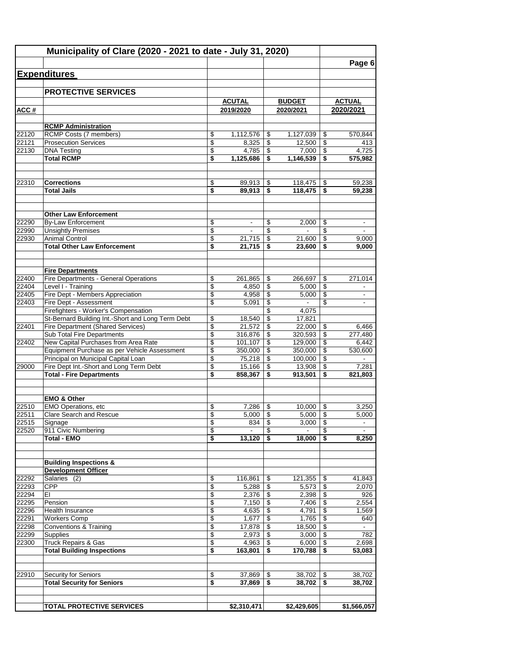|                | Municipality of Clare (2020 - 2021 to date - July 31, 2020)                          |          |                          |          |                          |                     | Page 6                   |
|----------------|--------------------------------------------------------------------------------------|----------|--------------------------|----------|--------------------------|---------------------|--------------------------|
|                | <b>Expenditures</b>                                                                  |          |                          |          |                          |                     |                          |
|                |                                                                                      |          |                          |          |                          |                     |                          |
|                | <b>PROTECTIVE SERVICES</b>                                                           |          |                          |          |                          |                     |                          |
|                |                                                                                      |          | <b>ACUTAL</b>            |          | <b>BUDGET</b>            |                     | <b>ACTUAL</b>            |
| ACC#           |                                                                                      |          | 2019/2020                |          | 2020/2021                |                     | 2020/2021                |
|                | <b>RCMP Administration</b>                                                           |          |                          |          |                          |                     |                          |
| 22120          | RCMP Costs (7 members)                                                               | \$       | 1,112,576                | \$       |                          |                     | 570,844                  |
| 22121          | <b>Prosecution Services</b>                                                          | \$       | 8,325                    | \$       | 12,500                   | \$                  | 413                      |
| 22130          | <b>DNA Testing</b>                                                                   | \$       | 4,785                    | \$       | 7,000                    | \$                  | 4,725                    |
|                | <b>Total RCMP</b>                                                                    | \$       | 1,125,686                | \$       | 1,146,539                | \$                  | 575,982                  |
| 22310          | <b>Corrections</b>                                                                   | \$       | 89,913                   | \$       | 118,475                  | \$                  | 59,238                   |
|                | <b>Total Jails</b>                                                                   | \$       | 89,913                   | \$       | 118,475                  | \$                  | 59,238                   |
|                |                                                                                      |          |                          |          |                          |                     |                          |
|                | <b>Other Law Enforcement</b>                                                         |          |                          |          |                          |                     |                          |
| 22290          | <b>By-Law Enforcement</b>                                                            | \$       | $\overline{\phantom{a}}$ | \$       | 2,000                    | \$                  | $\overline{\phantom{a}}$ |
| 22990<br>22930 | <b>Unsightly Premises</b><br><b>Animal Control</b>                                   | \$       |                          | \$       |                          | \$                  |                          |
|                | <b>Total Other Law Enforcement</b>                                                   | \$<br>\$ | 21,715<br>21,715         | \$<br>\$ | 21,600<br>23,600         | \$<br>\$            | 9,000<br>9.000           |
|                |                                                                                      |          |                          |          |                          |                     |                          |
|                | <b>Fire Departments</b>                                                              |          |                          |          |                          |                     |                          |
| 22400<br>22404 | Fire Departments - General Operations<br>Level I - Training                          | \$<br>\$ | 261,865<br>4,850         | \$<br>\$ | 266,697<br>5,000         | \$<br>$\sqrt[6]{3}$ | 271,014                  |
| 22405          | Fire Dept - Members Appreciation                                                     | \$       | 4,958                    | \$       | 5,000                    | \$                  | $\sim$                   |
| 22403          | Fire Dept - Assessment                                                               | \$       | 5,091                    | \$       | $\overline{\phantom{a}}$ | \$                  |                          |
|                | Firefighters - Worker's Compensation                                                 |          |                          | \$       | 4,075                    |                     |                          |
|                | St-Bernard Building Int.-Short and Long Term Debt                                    | \$       | 18,540                   | \$       | 17,821                   |                     |                          |
| 22401          | <b>Fire Department (Shared Services)</b>                                             | \$       | 21,572                   | \$       | 22,000                   | \$                  | 6,466                    |
|                | Sub Total Fire Departments                                                           | \$       | 316,876                  | \$       | 320,593                  | \$                  | 277,480                  |
| 22402          | New Capital Purchases from Area Rate<br>Equipment Purchase as per Vehicle Assessment | \$<br>\$ | 101,107<br>350,000       | \$<br>\$ | 129,000<br>350,000       | \$<br>\$            | 6,442<br>530,600         |
|                | Principal on Municipal Capital Loan                                                  | \$       | 75,218                   | \$       | 100,000                  | \$                  |                          |
| 29000          | Fire Dept Int.-Short and Long Term Debt                                              | \$       | 15,166                   | \$       | 13,908                   | \$                  | 7,281                    |
|                | <b>Total - Fire Departments</b>                                                      | \$       | 858,367                  | \$       | 913,501                  | \$                  | 821,803                  |
|                |                                                                                      |          |                          |          |                          |                     |                          |
| 22510          | <b>EMO &amp; Other</b><br><b>EMO Operations, etc</b>                                 | \$       | 7,286                    | \$       | 10,000                   | \$                  | 3,250                    |
| 22511          | <b>Clare Search and Rescue</b>                                                       | \$       | 5,000                    | \$       | 5,000                    | \$                  | 5,000                    |
| 22515          | Signage                                                                              | \$       | 834                      | \$       | 3,000                    | \$                  |                          |
| 22520          | 911 Civic Numbering                                                                  | \$       |                          | \$       |                          | \$                  |                          |
|                | <b>Total - EMO</b>                                                                   | \$       | 13,120                   | \$       | 18,000                   | \$                  | 8,250                    |
|                | <b>Building Inspections &amp;</b>                                                    |          |                          |          |                          |                     |                          |
|                | <b>Development Officer</b>                                                           |          |                          |          |                          |                     |                          |
| 22292          | Salaries (2)                                                                         | \$       | 116,861                  | \$       | 121,355                  | \$                  | 41,843                   |
| 22293          | <b>CPP</b>                                                                           | \$       | 5,288                    | \$       | 5,573                    | $\sqrt[6]{3}$       | 2,070                    |
| 22294          | ΕI                                                                                   | \$       | 2,376                    | \$       | 2,398                    | \$                  | 926                      |
| 22295<br>22296 | Pension<br><b>Health Insurance</b>                                                   | \$<br>\$ | 7,150<br>4,635           | \$<br>\$ | 7,406<br>4,791           | \$<br>\$            | 2,554<br>1,569           |
| 22291          | <b>Workers Comp</b>                                                                  | \$       | 1,677                    | \$       | 1,765                    | \$                  | 640                      |
| 22298          | Conventions & Training                                                               | \$       | 17,878                   | \$       | 18,500                   | \$                  |                          |
| 22299          | Supplies                                                                             | \$       | 2,973                    | \$       | 3,000                    | \$                  | 782                      |
| 22300          | <b>Truck Repairs &amp; Gas</b>                                                       | \$       | 4,963                    | \$       | 6,000                    | \$                  | 2,698                    |
|                | <b>Total Building Inspections</b>                                                    | \$       | 163,801                  | \$       | 170,788                  | \$                  | 53,083                   |
| 22910          | Security for Seniors                                                                 | \$       | 37,869                   | \$       | 38,702                   | \$                  | 38,702                   |
|                | <b>Total Security for Seniors</b>                                                    | \$       | 37,869                   | \$       | 38,702                   | \$                  | 38,702                   |
|                |                                                                                      |          |                          |          |                          |                     |                          |
|                | <b>TOTAL PROTECTIVE SERVICES</b>                                                     |          | \$2,310,471              |          | \$2,429,605              |                     | \$1,566,057              |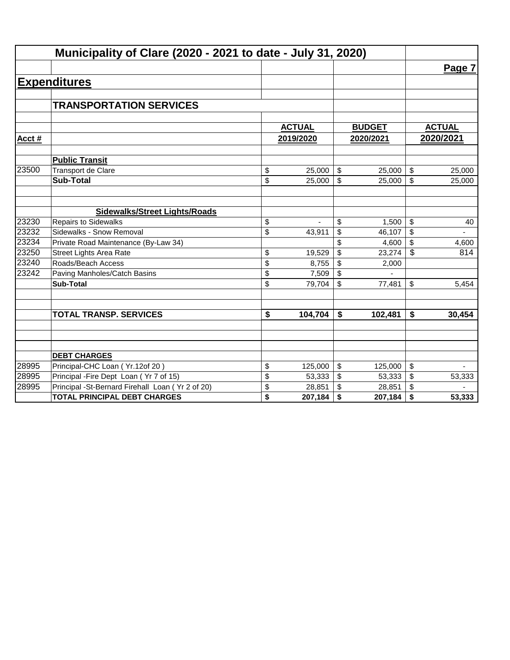|       | Municipality of Clare (2020 - 2021 to date - July 31, 2020) |                                      |               |                         |                      |               |
|-------|-------------------------------------------------------------|--------------------------------------|---------------|-------------------------|----------------------|---------------|
|       |                                                             |                                      |               |                         |                      | Page 7        |
|       | <b>Expenditures</b>                                         |                                      |               |                         |                      |               |
|       |                                                             |                                      |               |                         |                      |               |
|       | <b>TRANSPORTATION SERVICES</b>                              |                                      |               |                         |                      |               |
|       |                                                             |                                      |               |                         |                      |               |
|       |                                                             |                                      | <b>ACTUAL</b> |                         | <b>BUDGET</b>        | <b>ACTUAL</b> |
| Acct# |                                                             |                                      | 2019/2020     |                         | 2020/2021            | 2020/2021     |
|       | <b>Public Transit</b>                                       |                                      |               |                         |                      |               |
| 23500 | Transport de Clare                                          | \$                                   | 25,000        | \$                      | 25,000               | \$<br>25,000  |
|       | <b>Sub-Total</b>                                            | \$                                   | 25,000        | $\mathfrak{S}$          | 25,000               | \$<br>25,000  |
|       |                                                             |                                      |               |                         |                      |               |
|       | <b>Sidewalks/Street Lights/Roads</b>                        |                                      |               |                         |                      |               |
| 23230 | <b>Repairs to Sidewalks</b>                                 | \$                                   |               | \$                      | 1,500                | \$<br>40      |
| 23232 | Sidewalks - Snow Removal                                    | \$                                   | 43,911        | \$                      | 46,107               | \$            |
| 23234 | Private Road Maintenance (By-Law 34)                        |                                      |               | \$                      | 4,600                | \$<br>4,600   |
| 23250 | <b>Street Lights Area Rate</b>                              | \$                                   | 19,529        | \$                      | 23,274               | \$<br>814     |
| 23240 | Roads/Beach Access                                          | \$                                   | 8,755         | \$                      | 2,000                |               |
| 23242 | Paving Manholes/Catch Basins                                | \$                                   | 7,509         | $\mathfrak{S}$          |                      |               |
|       | <b>Sub-Total</b>                                            | \$                                   | 79,704        | $\mathfrak{S}$          | 77,481               | \$<br>5,454   |
|       |                                                             |                                      |               |                         |                      |               |
|       | <b>TOTAL TRANSP. SERVICES</b>                               | $\overline{\boldsymbol{\mathsf{s}}}$ | 104,704       | \$                      | $\overline{102,}481$ | \$<br>30,454  |
|       |                                                             |                                      |               |                         |                      |               |
|       |                                                             |                                      |               |                         |                      |               |
|       | <b>DEBT CHARGES</b>                                         |                                      |               |                         |                      |               |
| 28995 | Principal-CHC Loan (Yr.12of 20)                             | \$                                   | 125,000       | \$                      | 125,000              | \$            |
| 28995 | Principal - Fire Dept Loan (Yr 7 of 15)                     | \$                                   | 53,333        | $\sqrt[6]{\frac{1}{2}}$ | 53,333               | \$<br>53,333  |
| 28995 | Principal -St-Bernard Firehall Loan (Yr 2 of 20)            | \$                                   | 28,851        | \$                      | 28,851               | \$            |
|       | <b>TOTAL PRINCIPAL DEBT CHARGES</b>                         | \$                                   | 207,184       | \$                      | 207,184              | \$<br>53,333  |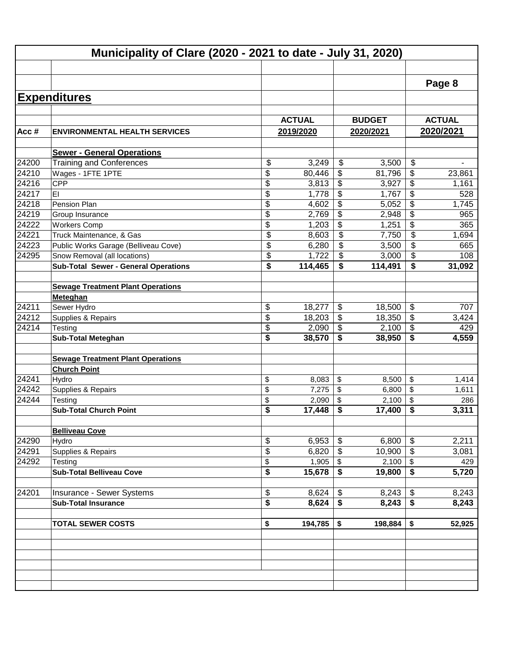|         |                                             |               |                                      |               |                           | Page 8        |
|---------|---------------------------------------------|---------------|--------------------------------------|---------------|---------------------------|---------------|
|         | <b>Expenditures</b>                         |               |                                      |               |                           |               |
|         |                                             |               |                                      |               |                           |               |
|         |                                             | <b>ACTUAL</b> |                                      | <b>BUDGET</b> |                           | <b>ACTUAL</b> |
| Acc $#$ | <b>ENVIRONMENTAL HEALTH SERVICES</b>        | 2019/2020     |                                      | 2020/2021     |                           | 2020/2021     |
|         | <b>Sewer - General Operations</b>           |               |                                      |               |                           |               |
| 24200   | <b>Training and Conferences</b>             | \$<br>3,249   | \$                                   | 3,500         | \$                        |               |
| 24210   | Wages - 1FTE 1PTE                           | \$<br>80,446  | \$                                   | 81,796        | \$                        | 23,861        |
| 24216   | <b>CPP</b>                                  | \$<br>3,813   | \$                                   | 3,927         | \$                        | 1,161         |
| 24217   | EI                                          | \$<br>1,778   | \$                                   | 1,767         | \$                        | 528           |
| 24218   | Pension Plan                                | \$<br>4,602   | \$                                   | 5,052         | \$                        | 1,745         |
| 24219   | Group Insurance                             | \$<br>2,769   | \$                                   | 2,948         | \$                        | 965           |
| 24222   | <b>Workers Comp</b>                         | \$<br>1,203   | \$                                   | 1,251         | \$                        | 365           |
| 24221   | Truck Maintenance, & Gas                    | \$<br>8,603   | \$                                   | 7,750         | \$                        | 1,694         |
| 24223   | Public Works Garage (Belliveau Cove)        | \$<br>6,280   | \$                                   | 3,500         | \$                        | 665           |
| 24295   | Snow Removal (all locations)                | \$<br>1,722   | \$                                   | 3,000         | \$                        | 108           |
|         | <b>Sub-Total Sewer - General Operations</b> | \$<br>114,465 | \$                                   | 114,491       | \$                        | 31,092        |
|         |                                             |               |                                      |               |                           |               |
|         | <b>Sewage Treatment Plant Operations</b>    |               |                                      |               |                           |               |
|         | Meteghan                                    |               |                                      |               |                           |               |
| 24211   | Sewer Hydro                                 | \$<br>18,277  | \$                                   | 18,500        | \$                        | 707           |
| 24212   | Supplies & Repairs                          | \$<br>18,203  | \$                                   | 18,350        | \$                        | 3,424         |
| 24214   | Testing                                     | \$<br>2,090   | \$                                   | 2,100         | $\boldsymbol{\mathsf{S}}$ | 429           |
|         | <b>Sub-Total Meteghan</b>                   | \$<br>38,570  | \$                                   | 38,950        | \$                        | 4,559         |
|         | <b>Sewage Treatment Plant Operations</b>    |               |                                      |               |                           |               |
|         | <b>Church Point</b>                         |               |                                      |               |                           |               |
| 24241   | Hydro                                       | \$<br>8,083   | \$                                   | 8,500         | $\sqrt{2}$                | 1,414         |
| 24242   | Supplies & Repairs                          | \$<br>7,275   | \$                                   | 6,800         | \$                        | 1,611         |
| 24244   | Testing                                     | \$<br>2,090   | \$                                   | 2,100         | \$                        | 286           |
|         | <b>Sub-Total Church Point</b>               | \$<br>17,448  | \$                                   | 17,400        | \$                        | 3,311         |
|         |                                             |               |                                      |               |                           |               |
| 24290   | <b>Belliveau Cove</b>                       | \$<br>6,953   | \$                                   | 6,800         | \$                        | 2,211         |
| 24291   | Hydro<br>Supplies & Repairs                 | \$<br>6,820   | $\sqrt[6]{\frac{1}{2}}$              | 10,900        | $\sqrt[6]{3}$             |               |
| 24292   |                                             | \$<br>1,905   | $\boldsymbol{\mathsf{S}}$            |               |                           | 3,081         |
|         | Testing<br><b>Sub-Total Belliveau Cove</b>  | \$<br>15,678  | $\overline{\boldsymbol{\mathsf{s}}}$ | 19,800        | $\overline{\bullet}$      | 429<br>5,720  |
|         |                                             |               |                                      |               |                           |               |
| 24201   | Insurance - Sewer Systems                   | \$<br>8,624   | \$                                   | 8,243         | $\sqrt[6]{\frac{1}{2}}$   | 8,243         |
|         | <b>Sub-Total Insurance</b>                  | \$<br>8,624   | $\overline{\boldsymbol{\mathsf{s}}}$ | 8,243         | $\overline{\bullet}$      | 8,243         |
|         | <b>TOTAL SEWER COSTS</b>                    | \$<br>194,785 | \$                                   | 198,884       | \$                        | 52,925        |
|         |                                             |               |                                      |               |                           |               |
|         |                                             |               |                                      |               |                           |               |
|         |                                             |               |                                      |               |                           |               |
|         |                                             |               |                                      |               |                           |               |
|         |                                             |               |                                      |               |                           |               |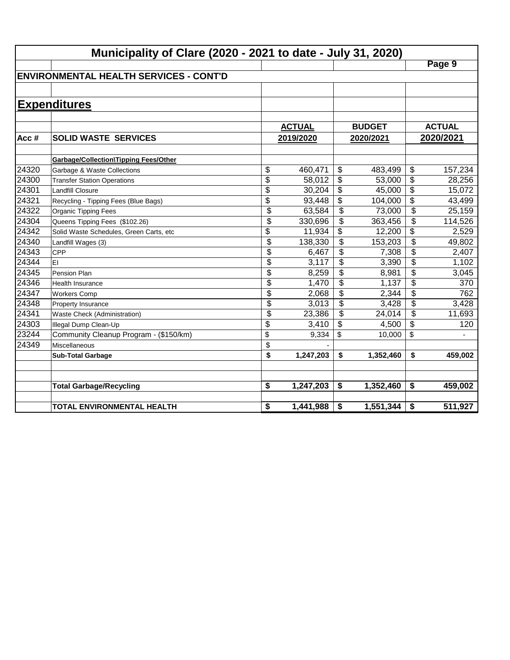|       | Municipality of Clare (2020 - 2021 to date - July 31, 2020) |                 |                           |               |                           |               |
|-------|-------------------------------------------------------------|-----------------|---------------------------|---------------|---------------------------|---------------|
|       |                                                             |                 |                           |               |                           | Page 9        |
|       | <b>ENVIRONMENTAL HEALTH SERVICES - CONT'D</b>               |                 |                           |               |                           |               |
|       |                                                             |                 |                           |               |                           |               |
|       | <b>Expenditures</b>                                         |                 |                           |               |                           |               |
|       |                                                             | <b>ACTUAL</b>   |                           | <b>BUDGET</b> |                           | <b>ACTUAL</b> |
| Acc#  | <b>SOLID WASTE SERVICES</b>                                 | 2019/2020       |                           | 2020/2021     |                           | 2020/2021     |
|       | <b>Garbage/Collection\Tipping Fees/Other</b>                |                 |                           |               |                           |               |
| 24320 | Garbage & Waste Collections                                 | \$<br>460,471   | \$                        | 483,499       | \$                        | 157,234       |
| 24300 | <b>Transfer Station Operations</b>                          | \$<br>58,012    | \$                        | 53,000        | \$                        | 28,256        |
| 24301 | <b>Landfill Closure</b>                                     | \$<br>30,204    | \$                        | 45,000        | \$                        | 15,072        |
| 24321 | Recycling - Tipping Fees (Blue Bags)                        | \$<br>93,448    | \$                        | 104,000       | \$                        | 43,499        |
| 24322 | <b>Organic Tipping Fees</b>                                 | \$<br>63,584    | $\frac{1}{2}$             | 73,000        | $\overline{\$}$           | 25,159        |
| 24304 | Queens Tipping Fees (\$102.26)                              | \$<br>330,696   | \$                        | 363,456       | $\overline{\$}$           | 114,526       |
| 24342 | Solid Waste Schedules, Green Carts, etc                     | \$<br>11,934    | \$                        | 12,200        | \$                        | 2,529         |
| 24340 | Landfill Wages (3)                                          | \$<br>138,330   | $\overline{\mathcal{S}}$  | 153,203       | $\overline{\$}$           | 49,802        |
| 24343 | <b>CPP</b>                                                  | \$<br>6,467     | \$                        | 7,308         | $\overline{\mathfrak{s}}$ | 2,407         |
| 24344 | EI                                                          | \$<br>3,117     | \$                        | 3,390         | \$                        | 1,102         |
| 24345 | <b>Pension Plan</b>                                         | \$<br>8,259     | \$                        | 8,981         | \$                        | 3,045         |
| 24346 | <b>Health Insurance</b>                                     | \$<br>1,470     | \$                        | 1,137         | \$                        | 370           |
| 24347 | <b>Workers Comp</b>                                         | \$<br>2,068     | \$                        | 2,344         | \$                        | 762           |
| 24348 | Property Insurance                                          | \$<br>3,013     | \$                        | 3,428         | \$                        | 3,428         |
| 24341 | Waste Check (Administration)                                | \$<br>23,386    | $\boldsymbol{\mathsf{S}}$ | 24,014        | \$                        | 11,693        |
| 24303 | Illegal Dump Clean-Up                                       | \$<br>3,410     | \$                        | 4,500         | \$                        | 120           |
| 23244 | Community Cleanup Program - (\$150/km)                      | \$<br>9,334     | \$                        | 10,000        | \$                        |               |
| 24349 | Miscellaneous                                               | \$              |                           |               |                           |               |
|       | <b>Sub-Total Garbage</b>                                    | \$<br>1,247,203 | \$                        | 1,352,460     | \$                        | 459,002       |
|       | <b>Total Garbage/Recycling</b>                              | \$<br>1,247,203 | \$                        | 1,352,460     | \$                        | 459,002       |
|       | <b>TOTAL ENVIRONMENTAL HEALTH</b>                           | \$<br>1,441,988 | \$                        | 1,551,344     | \$                        | 511,927       |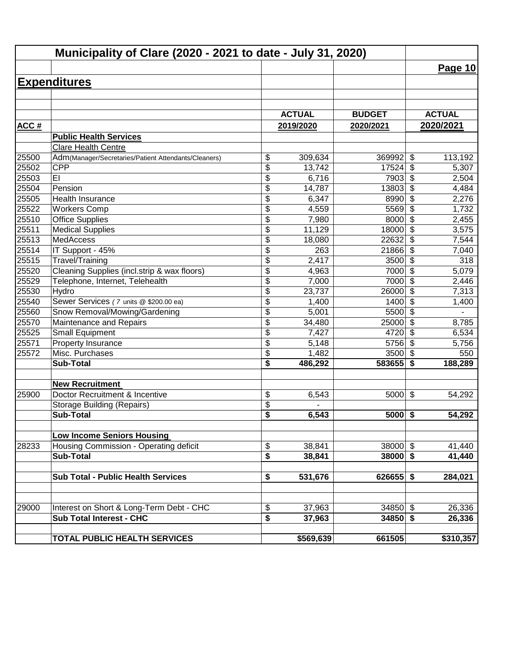|       | Municipality of Clare (2020 - 2021 to date - July 31, 2020) |                 |               |               |                           |               |
|-------|-------------------------------------------------------------|-----------------|---------------|---------------|---------------------------|---------------|
|       |                                                             |                 |               |               |                           | Page 10       |
|       | <b>Expenditures</b>                                         |                 |               |               |                           |               |
|       |                                                             |                 |               |               |                           |               |
|       |                                                             |                 |               |               |                           |               |
|       |                                                             |                 | <b>ACTUAL</b> | <b>BUDGET</b> |                           | <b>ACTUAL</b> |
| ACC#  |                                                             |                 | 2019/2020     | 2020/2021     |                           | 2020/2021     |
|       | <b>Public Health Services</b>                               |                 |               |               |                           |               |
|       | <b>Clare Health Centre</b>                                  |                 |               |               |                           |               |
| 25500 | Adm(Manager/Secretaries/Patient Attendants/Cleaners)        | \$              | 309,634       | 369992        | \$                        | 113,192       |
| 25502 | <b>CPP</b>                                                  | \$              | 13,742        | 17524         | $\boldsymbol{\mathsf{S}}$ | 5,307         |
| 25503 | EI                                                          | \$              | 6,716         | 7903          | $\boldsymbol{\mathsf{S}}$ | 2,504         |
| 25504 | Pension                                                     | \$              | 14,787        | 13803         | $\overline{\mathbf{S}}$   | 4,484         |
| 25505 | <b>Health Insurance</b>                                     | \$              | 6,347         | 8990          | \$                        | 2,276         |
| 25522 | <b>Workers Comp</b>                                         | \$              | 4,559         | 5569          | \$                        | 1,732         |
| 25510 | <b>Office Supplies</b>                                      | $\overline{\$}$ | 7,980         | 8000          | $\overline{\mathcal{S}}$  | 2,455         |
| 25511 | <b>Medical Supplies</b>                                     | $\overline{\$}$ | 11,129        | 18000         | \$                        | 3,575         |
| 25513 | MedAccess                                                   | \$              | 18,080        | 22632         | \$                        | 7,544         |
| 25514 | IT Support - 45%                                            | \$              | 263           | 21866         | $\boldsymbol{\mathsf{S}}$ | 7,040         |
| 25515 | Travel/Training                                             | \$              | 2,417         | 3500          | \$                        | 318           |
| 25520 | Cleaning Supplies (incl.strip & wax floors)                 | \$              | 4,963         | 7000          | \$                        | 5,079         |
| 25529 | Telephone, Internet, Telehealth                             | \$              | 7,000         | 7000          | \$                        | 2,446         |
| 25530 | Hydro                                                       | \$              | 23,737        | 26000         | \$                        | 7,313         |
| 25540 | Sewer Services (7 units @ \$200.00 ea)                      | \$              | 1,400         | 1400          | \$                        | 1,400         |
| 25560 | Snow Removal/Mowing/Gardening                               | \$              | 5,001         | 5500          | \$                        |               |
| 25570 | Maintenance and Repairs                                     | \$              | 34,480        | 25000         | $\boldsymbol{\mathsf{S}}$ | 8,785         |
| 25525 | <b>Small Equipment</b>                                      | \$              | 7,427         | 4720          | \$                        | 6,534         |
| 25571 | Property Insurance                                          | \$              | 5,148         | 5756          | $\boldsymbol{\mathsf{S}}$ | 5,756         |
| 25572 | Misc. Purchases                                             | \$              | 1,482         | 3500          | $\boldsymbol{\mathsf{S}}$ | 550           |
|       | <b>Sub-Total</b>                                            | \$              | 486,292       | 583655        | \$                        | 188,289       |
|       | <b>New Recruitment</b>                                      |                 |               |               |                           |               |
| 25900 | Doctor Recruitment & Incentive                              | \$              | 6,543         | 5000          | $\boldsymbol{\mathsf{S}}$ | 54,292        |
|       | <b>Storage Building (Repairs)</b>                           | \$              |               |               |                           |               |
|       | <b>Sub-Total</b>                                            | \$              | 6,543         | $5000$ \$     |                           | 54,292        |
|       |                                                             |                 |               |               |                           |               |
|       | <b>Low Income Seniors Housing</b>                           |                 |               |               |                           |               |
| 28233 | Housing Commission - Operating deficit                      | \$              | 38,841        | $38000$ \$    |                           | 41,440        |
|       | <b>Sub-Total</b>                                            | \$              | 38,841        | $38000$ \$    |                           | 41,440        |
|       |                                                             |                 |               |               |                           |               |
|       | <b>Sub Total - Public Health Services</b>                   | \$              | 531,676       | $626655$ \$   |                           | 284,021       |
|       |                                                             |                 |               |               |                           |               |
| 29000 | Interest on Short & Long-Term Debt - CHC                    | \$              | 37,963        | $34850$ \$    |                           | 26,336        |
|       | <b>Sub Total Interest - CHC</b>                             | \$              | 37,963        | $34850$ \$    |                           | 26,336        |
|       |                                                             |                 |               |               |                           |               |
|       | <b>TOTAL PUBLIC HEALTH SERVICES</b>                         |                 | \$569,639     | 661505        |                           | \$310,357     |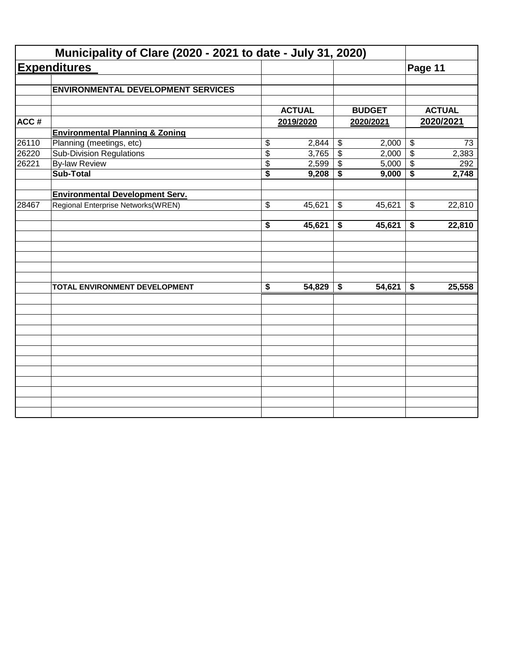|       | Municipality of Clare (2020 - 2021 to date - July 31, 2020) |               |                           |               |                            |               |
|-------|-------------------------------------------------------------|---------------|---------------------------|---------------|----------------------------|---------------|
|       | <b>Expenditures</b>                                         |               |                           |               | Page 11                    |               |
|       | <b>ENVIRONMENTAL DEVELOPMENT SERVICES</b>                   |               |                           |               |                            |               |
|       |                                                             |               |                           |               |                            |               |
|       |                                                             | <b>ACTUAL</b> |                           | <b>BUDGET</b> |                            | <b>ACTUAL</b> |
| ACC#  |                                                             | 2019/2020     |                           | 2020/2021     |                            | 2020/2021     |
|       | <b>Environmental Planning &amp; Zoning</b>                  |               |                           |               |                            |               |
| 26110 | Planning (meetings, etc)                                    | \$<br>2,844   | $\boldsymbol{\theta}$     | 2,000         | $\boldsymbol{\theta}$      | 73            |
| 26220 | <b>Sub-Division Regulations</b>                             | \$<br>3,765   | $\overline{\$}$           | 2,000         | $\overline{\$}$            | 2,383         |
| 26221 | <b>By-law Review</b>                                        | \$<br>2,599   | \$                        | 5,000         | \$                         | 292           |
|       | <b>Sub-Total</b>                                            | \$<br>9,208   | \$                        | 9,000         | \$                         | 2,748         |
|       | <b>Environmental Development Serv.</b>                      |               |                           |               |                            |               |
| 28467 | Regional Enterprise Networks(WREN)                          | \$<br>45,621  | $\boldsymbol{\mathsf{S}}$ | 45,621        | $\boldsymbol{\mathsf{\$}}$ | 22,810        |
|       |                                                             | \$<br>45,621  | \$                        | 45,621        | \$                         | 22,810        |
|       |                                                             |               |                           |               |                            |               |
|       | TOTAL ENVIRONMENT DEVELOPMENT                               | \$<br>54,829  | \$                        | 54,621        | \$                         | 25,558        |
|       |                                                             |               |                           |               |                            |               |
|       |                                                             |               |                           |               |                            |               |
|       |                                                             |               |                           |               |                            |               |
|       |                                                             |               |                           |               |                            |               |
|       |                                                             |               |                           |               |                            |               |
|       |                                                             |               |                           |               |                            |               |
|       |                                                             |               |                           |               |                            |               |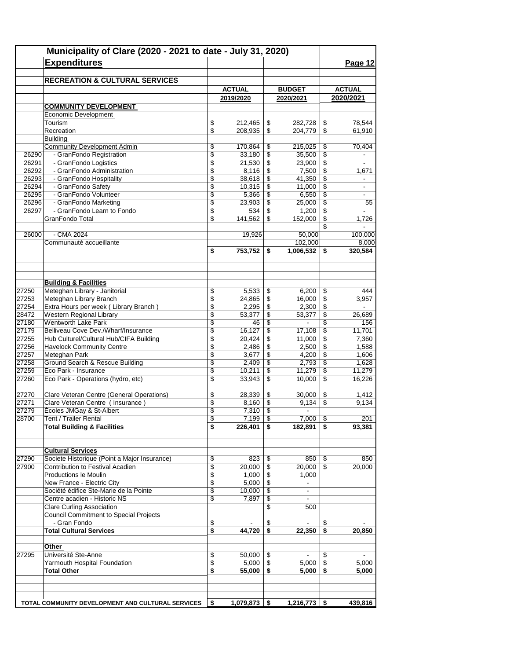|                | <b>Expenditures</b>                                                      |                               |                  |          |                          |                                | Page 12         |
|----------------|--------------------------------------------------------------------------|-------------------------------|------------------|----------|--------------------------|--------------------------------|-----------------|
|                | <b>RECREATION &amp; CULTURAL SERVICES</b>                                |                               |                  |          |                          |                                |                 |
|                |                                                                          |                               | <b>ACTUAL</b>    |          | <b>BUDGET</b>            |                                | <b>ACTUAL</b>   |
|                |                                                                          |                               | 2019/2020        |          | 2020/2021                |                                | 2020/2021       |
|                | <b>COMMUNITY DEVELOPMENT</b>                                             |                               |                  |          |                          |                                |                 |
|                | <b>Economic Development</b>                                              |                               |                  |          |                          |                                |                 |
|                | Tourism                                                                  | \$                            | 212,465          | \$       | 282,728                  | \$                             | 78,544          |
|                | Recreation                                                               | \$                            | 208,935          | \$       | 204,779                  | \$                             | 61,910          |
|                | <b>Building</b>                                                          |                               |                  |          |                          |                                |                 |
|                | <b>Community Development Admin</b>                                       | \$                            | 170,864          | \$       | 215,025                  | \$                             | 70,404          |
| 26290<br>26291 | - GranFondo Registration<br>- GranFondo Logistics                        | $\overline{\mathbb{S}}$<br>\$ | 33,180<br>21,530 | \$<br>\$ | 35,500<br>23,900         | $\overline{\mathcal{L}}$<br>\$ | $\blacksquare$  |
| 26292          | - GranFondo Administration                                               | \$                            | 8,116            | \$       | 7,500                    | \$                             | 1,671           |
| 26293          | - GranFondo Hospitality                                                  | \$                            | 38,618           | \$       | 41,350                   | \$                             | $\blacksquare$  |
| 26294          | - GranFondo Safety                                                       | \$                            | 10,315           | \$       | 11,000                   | \$                             | $\blacksquare$  |
| 26295          | - GranFondo Volunteer                                                    | \$                            | 5,366            | \$       | 6,550                    | \$                             |                 |
| 26296          | - GranFondo Marketing                                                    | \$                            | 23,903           | \$       | 25,000                   | \$                             | 55              |
| 26297          | - GranFondo Learn to Fondo                                               | \$                            | 534              | \$       | 1,200                    | \$                             |                 |
|                | <b>GranFondo Total</b>                                                   | \$                            | 141,562          | \$       | 152.000                  | \$                             | 1,726           |
|                |                                                                          |                               |                  |          |                          | \$                             |                 |
| 26000          | - CMA 2024                                                               |                               | 19,926           |          | 50,000                   |                                | 100.000         |
|                | Communauté accueillante                                                  |                               |                  |          | 102,000                  |                                | 8,000           |
|                |                                                                          | \$                            | 753,752          | \$       | 1,006,532                | \$                             | 320,584         |
|                |                                                                          |                               |                  |          |                          |                                |                 |
|                |                                                                          |                               |                  |          |                          |                                |                 |
|                | <b>Building &amp; Facilities</b>                                         |                               |                  |          |                          |                                |                 |
| 27250          | Meteghan Library - Janitorial                                            | \$                            | 5,533            | \$       | 6,200                    | \$                             | 444             |
| 27253          | Meteghan Library Branch                                                  | \$                            | 24,865           | \$       | 16,000                   | $\sqrt[6]{3}$                  | 3,957           |
| 27254          | Extra Hours per week (Library Branch)                                    | \$                            | 2,295            | \$       | 2,300                    | \$                             |                 |
| 28472          | Western Regional Library                                                 | \$                            | 53,377           | \$       | 53,377                   | \$                             | 26,689          |
| 27180          | <b>Wentworth Lake Park</b>                                               | \$                            | 46               | \$       |                          | \$                             | 156             |
| 27179          | Belliveau Cove Dev./Wharf/Insurance                                      | \$                            | 16,127           | \$       | 17,108                   | \$                             | 11,701          |
| 27255          | Hub Culturel/Cultural Hub/CIFA Building                                  | \$                            | 20,424           | \$       | 11,000                   | \$                             | 7,360           |
| 27256          | <b>Havelock Community Centre</b>                                         | \$                            | 2,486            | \$       | 2,500                    | \$                             | 1,588           |
| 27257          | Meteghan Park<br>Ground Search & Rescue Building                         | \$                            | 3,677            | \$       | 4,200                    | \$                             | 1,606           |
| 27258<br>27259 | Eco Park - Insurance                                                     | \$<br>\$                      | 2,409<br>10,211  | \$<br>\$ | 2,793<br>11,279          | \$<br>\$                       | 1,628<br>11,279 |
| 27260          | Eco Park - Operations (hydro, etc)                                       | \$                            | 33,943           | \$       | 10,000                   | \$                             | 16,226          |
|                |                                                                          |                               |                  |          |                          |                                |                 |
| 27270          | Clare Veteran Centre (General Operations)                                | \$                            | 28,339           | \$       | 30,000                   | \$                             | 1,412           |
| 27271          | Clare Veteran Centre (Insurance)                                         | \$                            | 8,160            | \$       | 9,134                    | \$                             | 9,134           |
| 27279          | Écoles JMGay & St-Albert                                                 | \$                            | $7,310$ \$       |          | $\sim$                   |                                |                 |
| 28700          | Tent / Trailer Rental                                                    | \$                            | 7,199            | \$       | $7,000$   \$             |                                | 201             |
|                | <b>Total Building &amp; Facilities</b>                                   | \$                            | 226,401          | \$       | $182,891$ \$             |                                | 93,381          |
|                |                                                                          |                               |                  |          |                          |                                |                 |
|                |                                                                          |                               |                  |          |                          |                                |                 |
| 27290          | <b>Cultural Services</b><br>Societe Historique (Point a Major Insurance) | \$                            | 823              |          | $850$   \$               |                                | 850             |
| 27900          | Contribution to Festival Acadien                                         | \$                            | 20,000           | \$<br>\$ | $20,000$ \ \$            |                                | 20,000          |
|                | <b>Productions le Moulin</b>                                             | \$                            | 1,000            | \$       | 1,000                    |                                |                 |
|                | New France - Electric City                                               | \$                            | 5,000            | \$       | $\overline{\phantom{a}}$ |                                |                 |
|                | Société édifice Ste-Marie de la Pointe                                   | \$                            | 10,000           | \$       | $\overline{\phantom{a}}$ |                                |                 |
|                | Centre acadien - Historic NS                                             | \$                            | 7,897            | \$       | $\sim$                   |                                |                 |
|                | <b>Clare Curling Association</b>                                         |                               |                  | \$       | 500                      |                                |                 |
|                | <b>Council Commitment to Special Projects</b>                            |                               |                  |          |                          |                                |                 |
|                | - Gran Fondo                                                             | \$                            |                  | \$       | $\blacksquare$           | \$                             |                 |
|                | <b>Total Cultural Services</b>                                           | \$                            | 44,720           | \$       | 22,350                   | \$                             | 20,850          |
|                |                                                                          |                               |                  |          |                          |                                |                 |
|                | Other                                                                    |                               |                  |          |                          |                                |                 |
| 27295          | Université Ste-Anne                                                      | \$                            | 50,000           | \$       |                          | \$                             | $\blacksquare$  |
|                | Yarmouth Hospital Foundation                                             | \$                            | 5,000            | \$       | 5,000                    | \$                             | 5,000           |
|                | Total Other                                                              | \$                            | 55,000           | \$       | 5,000                    | \$                             | 5,000           |
|                |                                                                          |                               |                  |          |                          |                                |                 |
|                |                                                                          |                               |                  |          |                          |                                |                 |
|                | TOTAL COMMUNITY DEVELOPMENT AND CULTURAL SERVICES                        | \$                            | 1,079,873        | \$       | $1,216,773$   \$         |                                | 439,816         |
|                |                                                                          |                               |                  |          |                          |                                |                 |